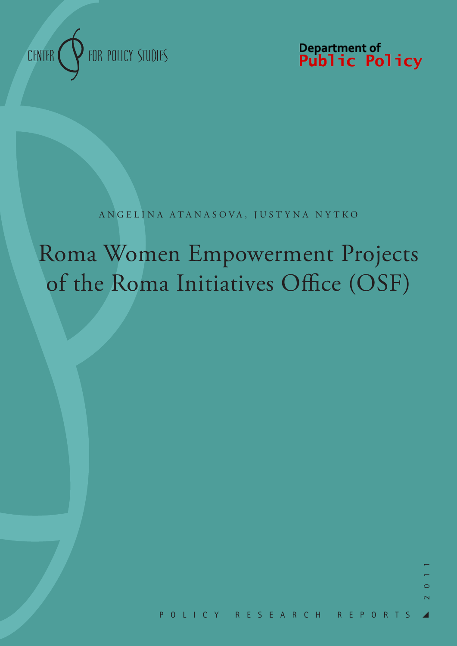

Department of<br>**Public Policy** 

# ANGELINA ATANASOVA, JUSTY NA NY TKO

# Roma Women Empowerment Projects of the Roma Initiatives Office (OSF)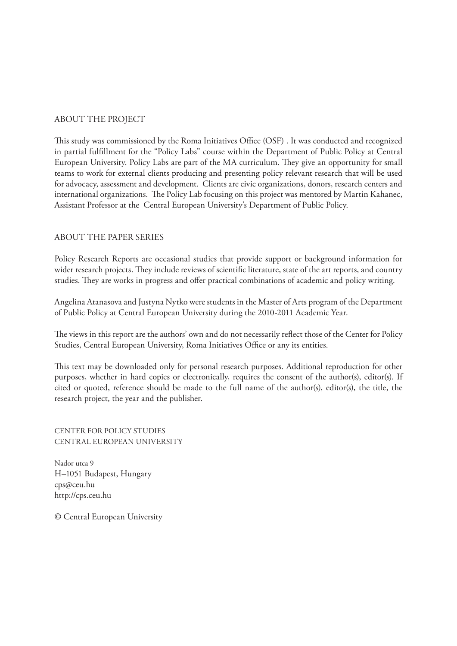# ABOUT THE PROJECT

This study was commissioned by the Roma Initiatives Office (OSF) . It was conducted and recognized in partial fulfillment for the "Policy Labs" course within the Department of Public Policy at Central European University. Policy Labs are part of the MA curriculum. They give an opportunity for small teams to work for external clients producing and presenting policy relevant research that will be used for advocacy, assessment and development. Clients are civic organizations, donors, research centers and international organizations. The Policy Lab focusing on this project was mentored by Martin Kahanec, Assistant Professor at the Central European University's Department of Public Policy.

# ABOUT THE PAPER SERIES

Policy Research Reports are occasional studies that provide support or background information for wider research projects. They include reviews of scientific literature, state of the art reports, and country studies. They are works in progress and offer practical combinations of academic and policy writing.

Angelina Atanasova and Justyna Nytko were students in the Master of Arts program of the Department of Public Policy at Central European University during the 2010-2011 Academic Year.

The views in this report are the authors' own and do not necessarily reflect those of the Center for Policy Studies, Central European University, Roma Initiatives Office or any its entities.

This text may be downloaded only for personal research purposes. Additional reproduction for other purposes, whether in hard copies or electronically, requires the consent of the author(s), editor(s). If cited or quoted, reference should be made to the full name of the author(s), editor(s), the title, the research project, the year and the publisher.

CENTER FOR POLICY STUDIES CENTRAL EUROPEAN UNIVERSITY

Nador utca 9 H–1051 Budapest, Hungary cps@ceu.hu http://cps.ceu.hu

© Central European University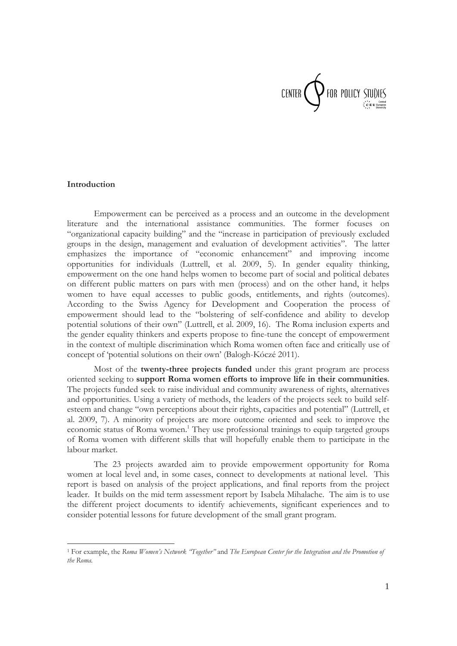

#### **Introduction**

Empowerment can be perceived as a process and an outcome in the development literature and the international assistance communities. The former focuses on "organizational capacity building" and the "increase in participation of previously excluded groups in the design, management and evaluation of development activities". The latter emphasizes the importance of "economic enhancement" and improving income opportunities for individuals (Luttrell, et al. 2009, 5). In gender equality thinking, empowerment on the one hand helps women to become part of social and political debates on different public matters on pars with men (process) and on the other hand, it helps women to have equal accesses to public goods, entitlements, and rights (outcomes). According to the Swiss Agency for Development and Cooperation the process of empowerment should lead to the "bolstering of self-confidence and ability to develop potential solutions of their own" (Luttrell, et al. 2009, 16). The Roma inclusion experts and the gender equality thinkers and experts propose to fine-tune the concept of empowerment in the context of multiple discrimination which Roma women often face and critically use of concept of 'potential solutions on their own' (Balogh-Kóczé 2011).

Most of the **twenty-three projects funded** under this grant program are process oriented seeking to **support Roma women efforts to improve life in their communities**. The projects funded seek to raise individual and community awareness of rights, alternatives and opportunities. Using a variety of methods, the leaders of the projects seek to build selfesteem and change "own perceptions about their rights, capacities and potential" (Luttrell, et al. 2009, 7). A minority of projects are more outcome oriented and seek to improve the economic status of Roma women.<sup>1</sup> They use professional trainings to equip targeted groups of Roma women with different skills that will hopefully enable them to participate in the labour market.

The 23 projects awarded aim to provide empowerment opportunity for Roma women at local level and, in some cases, connect to developments at national level. This report is based on analysis of the project applications, and final reports from the project leader. It builds on the mid term assessment report by Isabela Mihalache. The aim is to use the different project documents to identify achievements, significant experiences and to consider potential lessons for future development of the small grant program.

<sup>1</sup> For example, the *Roma Women's Network "Together"* and *The European Center for the Integration and the Promotion of the Roma.*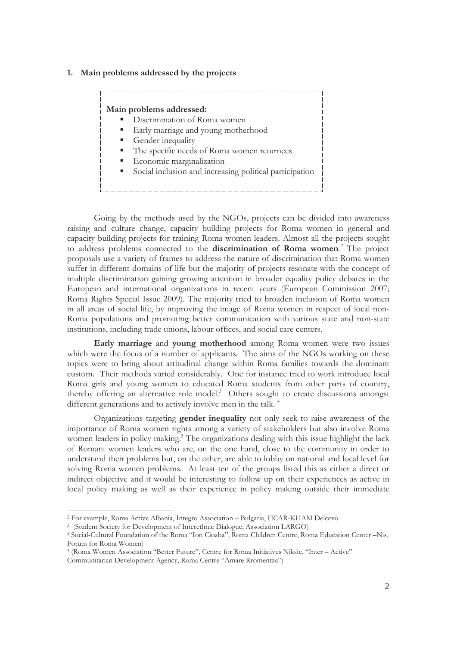#### **1. Main problems addressed by the projects**



Going by the methods used by the NGOs, projects can be divided into awareness raising and culture change, capacity building projects for Roma women in general and capacity building projects for training Roma women leaders. Almost all the projects sought to address problems connected to the **discrimination of Roma women***. 2* The project proposals use a variety of frames to address the nature of discrimination that Roma women suffer in different domains of life but the majority of projects resonate with the concept of multiple discrimination gaining growing attention in broader equality policy debates in the European and international organizations in recent years (European Commission 2007; Roma Rights Special Issue 2009). The majority tried to broaden inclusion of Roma women in all areas of social life, by improving the image of Roma women in respect of local non-Roma populations and promoting better communication with various state and non-state institutions, including trade unions, labour offices, and social care centers.

**Early marriage** and **young motherhood** among Roma women were two issues which were the focus of a number of applicants. The aims of the NGOs working on these topics were to bring about attitudinal change within Roma families towards the dominant custom. Their methods varied considerably. One for instance tried to work introduce local Roma girls and young women to educated Roma students from other parts of country, thereby offering an alternative role model.<sup>3</sup> Others sought to create discussions amongst different generations and to actively involve men in the talk.<sup>4</sup>

Organizations targeting **gender inequality** not only seek to raise awareness of the importance of Roma women rights among a variety of stakeholders but also involve Roma women leaders in policy making.<sup>5</sup> The organizations dealing with this issue highlight the lack of Romani women leaders who are, on the one hand, close to the community in order to understand their problems but, on the other, are able to lobby on national and local level for solving Roma women problems. At least ten of the groups listed this as either a direct or indirect objective and it would be interesting to follow up on their experiences as active in local policy making as well as their experience in policy making outside their immediate

<sup>2</sup> For example, Roma Active Albania, Integro Association – Bulgaria, HCAR-KHAM Delcevo

<sup>3 (</sup>Student Society for Development of Interethnic Dialogue, Association LARGO)

<sup>4</sup> Social-Cultural Foundation of the Roma "Ion Cioaba", Roma Children Centre, Roma Education Center –Nis, Forum for Roma Women)

<sup>5 (</sup>Roma Women Association "Better Future", Centre for Roma Initiatives Niksic, "Inter – Active"

Communitarian Development Agency, Roma Centre "Amare Rromentza")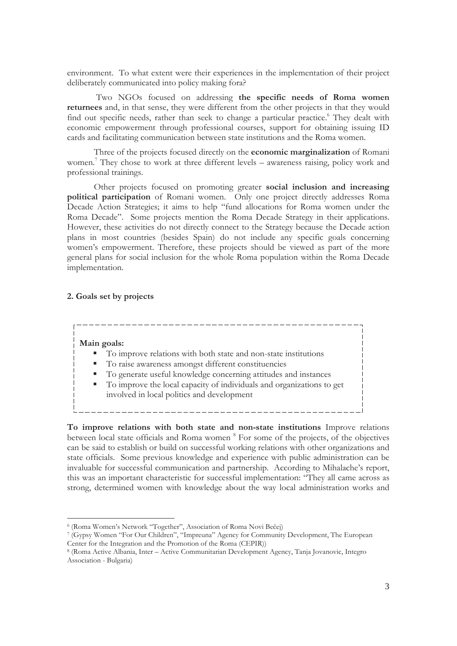environment. To what extent were their experiences in the implementation of their project deliberately communicated into policy making fora?

 Two NGOs focused on addressing **the specific needs of Roma women returnees** and, in that sense, they were different from the other projects in that they would find out specific needs, rather than seek to change a particular practice.<sup>6</sup> They dealt with economic empowerment through professional courses, support for obtaining issuing ID cards and facilitating communication between state institutions and the Roma women.

Three of the projects focused directly on the **economic marginalization** of Romani women.<sup>7</sup> They chose to work at three different levels – awareness raising, policy work and professional trainings.

Other projects focused on promoting greater **social inclusion and increasing political participation** of Romani women. Only one project directly addresses Roma Decade Action Strategies; it aims to help "fund allocations for Roma women under the Roma Decade". Some projects mention the Roma Decade Strategy in their applications. However, these activities do not directly connect to the Strategy because the Decade action plans in most countries (besides Spain) do not include any specific goals concerning women's empowerment. Therefore, these projects should be viewed as part of the more general plans for social inclusion for the whole Roma population within the Roma Decade implementation.

## **2. Goals set by projects**

#### **Main goals:**

- To improve relations with both state and non-state institutions
- To raise awareness amongst different constituencies
- To generate useful knowledge concerning attitudes and instances
- To improve the local capacity of individuals and organizations to get involved in local politics and development

**To improve relations with both state and non-state institutions** Improve relations between local state officials and Roma women <sup>8</sup> For some of the projects, of the objectives can be said to establish or build on successful working relations with other organizations and state officials. Some previous knowledge and experience with public administration can be invaluable for successful communication and partnership. According to Mihalache's report, this was an important characteristic for successful implementation: "They all came across as strong, determined women with knowledge about the way local administration works and

<sup>&</sup>lt;sup>6</sup> (Roma Women's Network "Together", Association of Roma Novi Bečej)<br><sup>7</sup> (Gypsy Women "For Our Children", "Impreuna" Agency for Community Development, The European Center for the Integration and the Promotion of the Roma (CEPIR))

<sup>8 (</sup>Roma Active Albania, Inter – Active Communitarian Development Agency, Tanja Jovanovic, Integro Association - Bulgaria)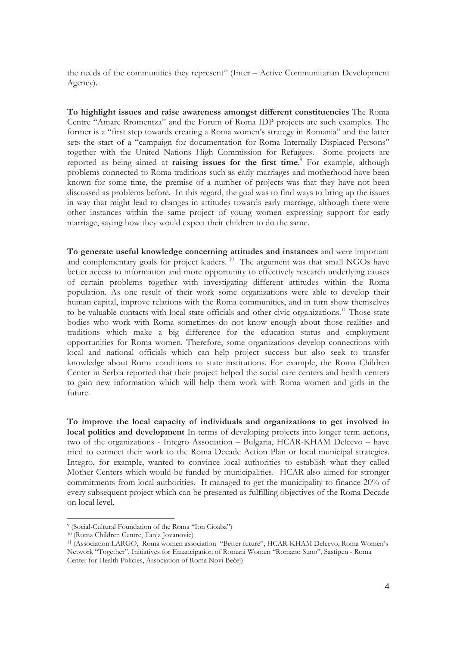the needs of the communities they represent" (Inter – Active Communitarian Development Agency).

**To highlight issues and raise awareness amongst different constituencies** The Roma Centre "Amare Rromentza" and the Forum of Roma IDP projects are such examples. The former is a "first step towards creating a Roma women's strategy in Romania" and the latter sets the start of a "campaign for documentation for Roma Internally Displaced Persons" together with the United Nations High Commission for Refugees. Some projects are reported as being aimed at **raising issues for the first time**. 9 For example, although problems connected to Roma traditions such as early marriages and motherhood have been known for some time, the premise of a number of projects was that they have not been discussed as problems before. In this regard, the goal was to find ways to bring up the issues in way that might lead to changes in attitudes towards early marriage, although there were other instances within the same project of young women expressing support for early marriage, saying how they would expect their children to do the same.

**To generate useful knowledge concerning attitudes and instances** and were important and complementary goals for project leaders.<sup>10</sup> The argument was that small NGOs have better access to information and more opportunity to effectively research underlying causes of certain problems together with investigating different attitudes within the Roma population. As one result of their work some organizations were able to develop their human capital, improve relations with the Roma communities, and in turn show themselves to be valuable contacts with local state officials and other civic organizations.<sup>11</sup> Those state bodies who work with Roma sometimes do not know enough about those realities and traditions which make a big difference for the education status and employment opportunities for Roma women. Therefore, some organizations develop connections with local and national officials which can help project success but also seek to transfer knowledge about Roma conditions to state institutions. For example, the Roma Children Center in Serbia reported that their project helped the social care centers and health centers to gain new information which will help them work with Roma women and girls in the future.

**To improve the local capacity of individuals and organizations to get involved in local politics and development** In terms of developing projects into longer term actions, two of the organizations - Integro Association – Bulgaria, HCAR-KHAM Delcevo – have tried to connect their work to the Roma Decade Action Plan or local municipal strategies. Integro, for example, wanted to convince local authorities to establish what they called Mother Centers which would be funded by municipalities. HCAR also aimed for stronger commitments from local authorities. It managed to get the municipality to finance 20% of every subsequent project which can be presented as fulfilling objectives of the Roma Decade on local level.

<sup>9 (</sup>Social-Cultural Foundation of the Roma "Ion Cioaba")

<sup>10 (</sup>Roma Children Centre, Tanja Jovanovic)

<sup>11 (</sup>Association LARGO, Roma women association "Better future", HCAR-KHAM Delcevo, Roma Women's Network "Together", Initiatives for Emancipation of Romani Women "Romano Suno", Sastipen - Roma Center for Health Policies, Association of Roma Novi Bečej)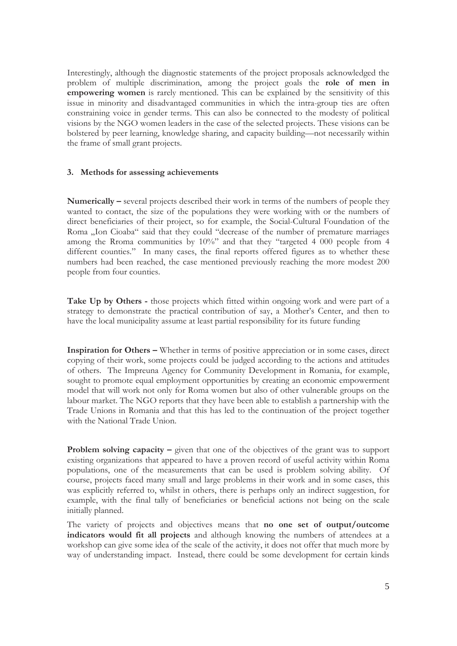Interestingly, although the diagnostic statements of the project proposals acknowledged the problem of multiple discrimination, among the project goals the **role of men in empowering women** is rarely mentioned. This can be explained by the sensitivity of this issue in minority and disadvantaged communities in which the intra-group ties are often constraining voice in gender terms. This can also be connected to the modesty of political visions by the NGO women leaders in the case of the selected projects. These visions can be bolstered by peer learning, knowledge sharing, and capacity building—not necessarily within the frame of small grant projects.

## **3. Methods for assessing achievements**

**Numerically –** several projects described their work in terms of the numbers of people they wanted to contact, the size of the populations they were working with or the numbers of direct beneficiaries of their project, so for example, the Social-Cultural Foundation of the Roma "Ion Cioaba" said that they could "decrease of the number of premature marriages among the Rroma communities by 10%" and that they "targeted 4 000 people from 4 different counties." In many cases, the final reports offered figures as to whether these numbers had been reached, the case mentioned previously reaching the more modest 200 people from four counties.

**Take Up by Others -** those projects which fitted within ongoing work and were part of a strategy to demonstrate the practical contribution of say, a Mother's Center, and then to have the local municipality assume at least partial responsibility for its future funding

**Inspiration for Others –** Whether in terms of positive appreciation or in some cases, direct copying of their work, some projects could be judged according to the actions and attitudes of others. The Impreuna Agency for Community Development in Romania, for example, sought to promote equal employment opportunities by creating an economic empowerment model that will work not only for Roma women but also of other vulnerable groups on the labour market. The NGO reports that they have been able to establish a partnership with the Trade Unions in Romania and that this has led to the continuation of the project together with the National Trade Union.

**Problem solving capacity – given that one of the objectives of the grant was to support** existing organizations that appeared to have a proven record of useful activity within Roma populations, one of the measurements that can be used is problem solving ability. Of course, projects faced many small and large problems in their work and in some cases, this was explicitly referred to, whilst in others, there is perhaps only an indirect suggestion, for example, with the final tally of beneficiaries or beneficial actions not being on the scale initially planned.

The variety of projects and objectives means that **no one set of output/outcome indicators would fit all projects** and although knowing the numbers of attendees at a workshop can give some idea of the scale of the activity, it does not offer that much more by way of understanding impact. Instead, there could be some development for certain kinds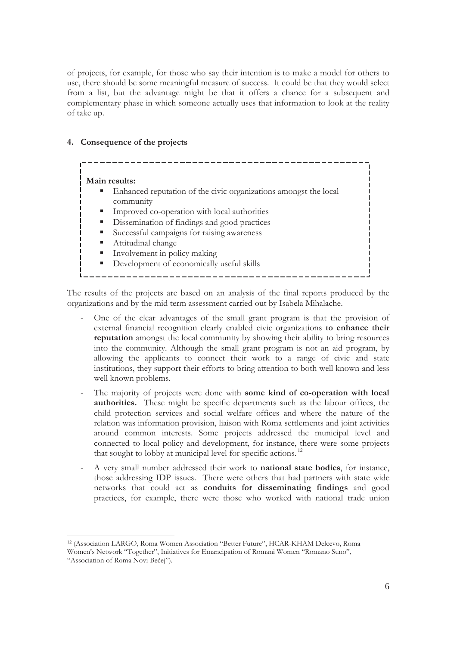of projects, for example, for those who say their intention is to make a model for others to use, there should be some meaningful measure of success. It could be that they would select from a list, but the advantage might be that it offers a chance for a subsequent and complementary phase in which someone actually uses that information to look at the reality of take up.

# **4. Consequence of the projects**

| Main results:<br>Enhanced reputation of the civic organizations amongst the local<br>ш<br>community<br>Improved co-operation with local authorities<br>ш<br>Dissemination of findings and good practices<br>п<br>ш |  |
|--------------------------------------------------------------------------------------------------------------------------------------------------------------------------------------------------------------------|--|
| Successful campaigns for raising awareness<br>Attitudinal change<br>ш<br>Involvement in policy making<br>п<br>Development of economically useful skills<br>Е                                                       |  |

The results of the projects are based on an analysis of the final reports produced by the organizations and by the mid term assessment carried out by Isabela Mihalache.

- One of the clear advantages of the small grant program is that the provision of external financial recognition clearly enabled civic organizations **to enhance their reputation** amongst the local community by showing their ability to bring resources into the community. Although the small grant program is not an aid program, by allowing the applicants to connect their work to a range of civic and state institutions, they support their efforts to bring attention to both well known and less well known problems.
- The majority of projects were done with **some kind of co-operation with local authorities.** These might be specific departments such as the labour offices, the child protection services and social welfare offices and where the nature of the relation was information provision, liaison with Roma settlements and joint activities around common interests. Some projects addressed the municipal level and connected to local policy and development, for instance, there were some projects that sought to lobby at municipal level for specific actions. 12
- A very small number addressed their work to **national state bodies**, for instance, those addressing IDP issues. There were others that had partners with state wide networks that could act as **conduits for disseminating findings** and good practices, for example, there were those who worked with national trade union

<sup>12 (</sup>Association LARGO, Roma Women Association "Better Future", HCAR-KHAM Delcevo, Roma Women's Network "Together", Initiatives for Emancipation of Romani Women "Romano Suno",

<sup>&</sup>quot;Association of Roma Novi Bečej").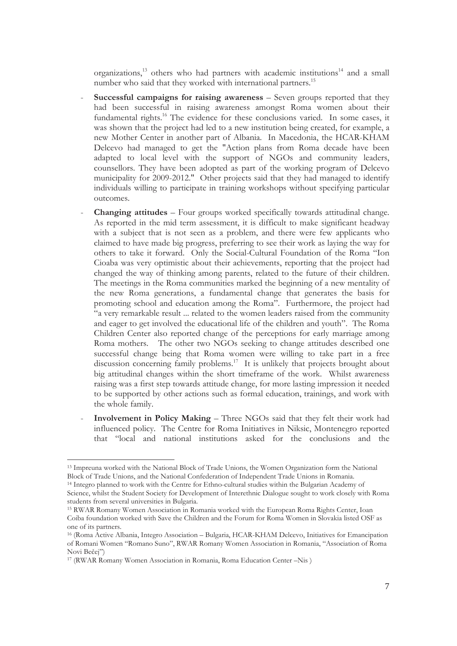organizations, $^{13}$  others who had partners with academic institutions $^{14}$  and a small number who said that they worked with international partners.<sup>15</sup>

- **Successful campaigns for raising awareness** Seven groups reported that they had been successful in raising awareness amongst Roma women about their fundamental rights.<sup>16</sup> The evidence for these conclusions varied. In some cases, it was shown that the project had led to a new institution being created, for example, a new Mother Center in another part of Albania. In Macedonia, the HCAR-KHAM Delcevo had managed to get the "Action plans from Roma decade have been adapted to local level with the support of NGOs and community leaders, counsellors. They have been adopted as part of the working program of Delcevo municipality for 2009-2012." Other projects said that they had managed to identify individuals willing to participate in training workshops without specifying particular outcomes.
- **Changing attitudes** Four groups worked specifically towards attitudinal change. As reported in the mid term assessment, it is difficult to make significant headway with a subject that is not seen as a problem, and there were few applicants who claimed to have made big progress, preferring to see their work as laying the way for others to take it forward. Only the Social-Cultural Foundation of the Roma "Ion Cioaba was very optimistic about their achievements, reporting that the project had changed the way of thinking among parents, related to the future of their children. The meetings in the Roma communities marked the beginning of a new mentality of the new Roma generations, a fundamental change that generates the basis for promoting school and education among the Roma". Furthermore, the project had "a very remarkable result ... related to the women leaders raised from the community and eager to get involved the educational life of the children and youth". The Roma Children Center also reported change of the perceptions for early marriage among Roma mothers. The other two NGOs seeking to change attitudes described one successful change being that Roma women were willing to take part in a free discussion concerning family problems.<sup>17</sup> It is unlikely that projects brought about big attitudinal changes within the short timeframe of the work. Whilst awareness raising was a first step towards attitude change, for more lasting impression it needed to be supported by other actions such as formal education, trainings, and work with the whole family.
- **Involvement in Policy Making**  Three NGOs said that they felt their work had influenced policy. The Centre for Roma Initiatives in Niksic, Montenegro reported that "local and national institutions asked for the conclusions and the

<sup>13</sup> Impreuna worked with the National Block of Trade Unions, the Women Organization form the National Block of Trade Unions, and the National Confederation of Independent Trade Unions in Romania.

<sup>14</sup> Integro planned to work with the Centre for Ethno-cultural studies within the Bulgarian Academy of Science, whilst the Student Society for Development of Interethnic Dialogue sought to work closely with Roma students from several universities in Bulgaria.

<sup>15</sup> RWAR Romany Women Association in Romania worked with the European Roma Rights Center, Ioan Coiba foundation worked with Save the Children and the Forum for Roma Women in Slovakia listed OSF as one of its partners.

<sup>16 (</sup>Roma Active Albania, Integro Association – Bulgaria, HCAR-KHAM Delcevo, Initiatives for Emancipation of Romani Women "Romano Suno", RWAR Romany Women Association in Romania, "Association of Roma Novi Bečej")<br><sup>17</sup> (RWAR Romany Women Association in Romania, Roma Education Center –Nis)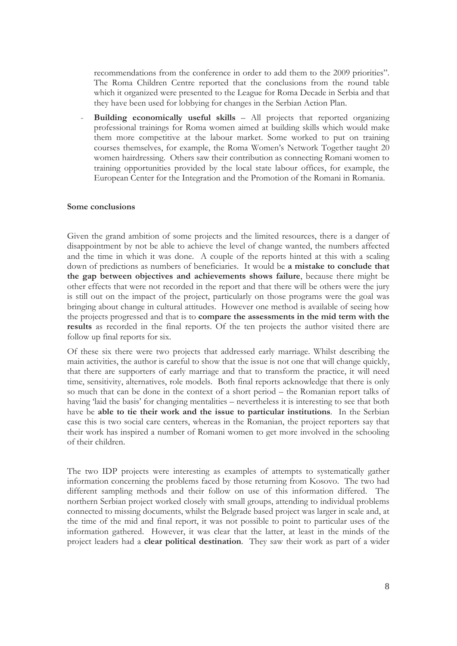recommendations from the conference in order to add them to the 2009 priorities". The Roma Children Centre reported that the conclusions from the round table which it organized were presented to the League for Roma Decade in Serbia and that they have been used for lobbying for changes in the Serbian Action Plan.

- **Building economically useful skills** – All projects that reported organizing professional trainings for Roma women aimed at building skills which would make them more competitive at the labour market. Some worked to put on training courses themselves, for example, the Roma Women's Network Together taught 20 women hairdressing. Others saw their contribution as connecting Romani women to training opportunities provided by the local state labour offices, for example, the European Center for the Integration and the Promotion of the Romani in Romania.

#### **Some conclusions**

Given the grand ambition of some projects and the limited resources, there is a danger of disappointment by not be able to achieve the level of change wanted, the numbers affected and the time in which it was done. A couple of the reports hinted at this with a scaling down of predictions as numbers of beneficiaries. It would be **a mistake to conclude that the gap between objectives and achievements shows failure**, because there might be other effects that were not recorded in the report and that there will be others were the jury is still out on the impact of the project, particularly on those programs were the goal was bringing about change in cultural attitudes. However one method is available of seeing how the projects progressed and that is to **compare the assessments in the mid term with the results** as recorded in the final reports. Of the ten projects the author visited there are follow up final reports for six.

Of these six there were two projects that addressed early marriage. Whilst describing the main activities, the author is careful to show that the issue is not one that will change quickly, that there are supporters of early marriage and that to transform the practice, it will need time, sensitivity, alternatives, role models. Both final reports acknowledge that there is only so much that can be done in the context of a short period – the Romanian report talks of having 'laid the basis' for changing mentalities – nevertheless it is interesting to see that both have be **able to tie their work and the issue to particular institutions**. In the Serbian case this is two social care centers, whereas in the Romanian, the project reporters say that their work has inspired a number of Romani women to get more involved in the schooling of their children.

The two IDP projects were interesting as examples of attempts to systematically gather information concerning the problems faced by those returning from Kosovo. The two had different sampling methods and their follow on use of this information differed. The northern Serbian project worked closely with small groups, attending to individual problems connected to missing documents, whilst the Belgrade based project was larger in scale and, at the time of the mid and final report, it was not possible to point to particular uses of the information gathered. However, it was clear that the latter, at least in the minds of the project leaders had a **clear political destination**. They saw their work as part of a wider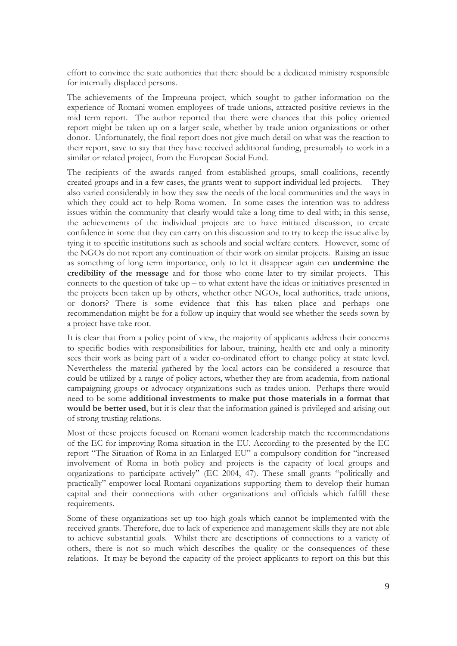effort to convince the state authorities that there should be a dedicated ministry responsible for internally displaced persons.

The achievements of the Impreuna project, which sought to gather information on the experience of Romani women employees of trade unions, attracted positive reviews in the mid term report. The author reported that there were chances that this policy oriented report might be taken up on a larger scale, whether by trade union organizations or other donor. Unfortunately, the final report does not give much detail on what was the reaction to their report, save to say that they have received additional funding, presumably to work in a similar or related project, from the European Social Fund.

The recipients of the awards ranged from established groups, small coalitions, recently created groups and in a few cases, the grants went to support individual led projects. They also varied considerably in how they saw the needs of the local communities and the ways in which they could act to help Roma women. In some cases the intention was to address issues within the community that clearly would take a long time to deal with; in this sense, the achievements of the individual projects are to have initiated discussion, to create confidence in some that they can carry on this discussion and to try to keep the issue alive by tying it to specific institutions such as schools and social welfare centers. However, some of the NGOs do not report any continuation of their work on similar projects. Raising an issue as something of long term importance, only to let it disappear again can **undermine the credibility of the message** and for those who come later to try similar projects. This connects to the question of take up – to what extent have the ideas or initiatives presented in the projects been taken up by others, whether other NGOs, local authorities, trade unions, or donors? There is some evidence that this has taken place and perhaps one recommendation might be for a follow up inquiry that would see whether the seeds sown by a project have take root.

It is clear that from a policy point of view, the majority of applicants address their concerns to specific bodies with responsibilities for labour, training, health etc and only a minority sees their work as being part of a wider co-ordinated effort to change policy at state level. Nevertheless the material gathered by the local actors can be considered a resource that could be utilized by a range of policy actors, whether they are from academia, from national campaigning groups or advocacy organizations such as trades union. Perhaps there would need to be some **additional investments to make put those materials in a format that would be better used**, but it is clear that the information gained is privileged and arising out of strong trusting relations.

Most of these projects focused on Romani women leadership match the recommendations of the EC for improving Roma situation in the EU. According to the presented by the EC report "The Situation of Roma in an Enlarged EU" a compulsory condition for "increased involvement of Roma in both policy and projects is the capacity of local groups and organizations to participate actively" (EC 2004, 47). These small grants "politically and practically" empower local Romani organizations supporting them to develop their human capital and their connections with other organizations and officials which fulfill these requirements.

Some of these organizations set up too high goals which cannot be implemented with the received grants. Therefore, due to lack of experience and management skills they are not able to achieve substantial goals. Whilst there are descriptions of connections to a variety of others, there is not so much which describes the quality or the consequences of these relations. It may be beyond the capacity of the project applicants to report on this but this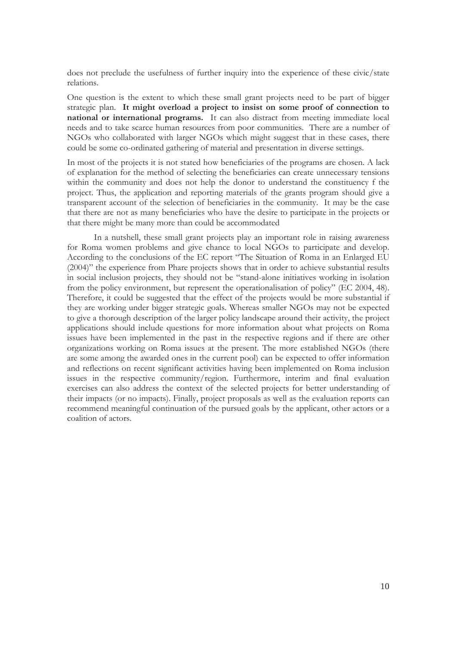does not preclude the usefulness of further inquiry into the experience of these civic/state relations.

One question is the extent to which these small grant projects need to be part of bigger strategic plan. **It might overload a project to insist on some proof of connection to national or international programs.** It can also distract from meeting immediate local needs and to take scarce human resources from poor communities. There are a number of NGOs who collaborated with larger NGOs which might suggest that in these cases, there could be some co-ordinated gathering of material and presentation in diverse settings.

In most of the projects it is not stated how beneficiaries of the programs are chosen. A lack of explanation for the method of selecting the beneficiaries can create unnecessary tensions within the community and does not help the donor to understand the constituency f the project. Thus, the application and reporting materials of the grants program should give a transparent account of the selection of beneficiaries in the community. It may be the case that there are not as many beneficiaries who have the desire to participate in the projects or that there might be many more than could be accommodated

In a nutshell, these small grant projects play an important role in raising awareness for Roma women problems and give chance to local NGOs to participate and develop. According to the conclusions of the EC report "The Situation of Roma in an Enlarged EU (2004)" the experience from Phare projects shows that in order to achieve substantial results in social inclusion projects, they should not be "stand-alone initiatives working in isolation from the policy environment, but represent the operationalisation of policy" (EC 2004, 48). Therefore, it could be suggested that the effect of the projects would be more substantial if they are working under bigger strategic goals. Whereas smaller NGOs may not be expected to give a thorough description of the larger policy landscape around their activity, the project applications should include questions for more information about what projects on Roma issues have been implemented in the past in the respective regions and if there are other organizations working on Roma issues at the present. The more established NGOs (there are some among the awarded ones in the current pool) can be expected to offer information and reflections on recent significant activities having been implemented on Roma inclusion issues in the respective community/region. Furthermore, interim and final evaluation exercises can also address the context of the selected projects for better understanding of their impacts (or no impacts). Finally, project proposals as well as the evaluation reports can recommend meaningful continuation of the pursued goals by the applicant, other actors or a coalition of actors.